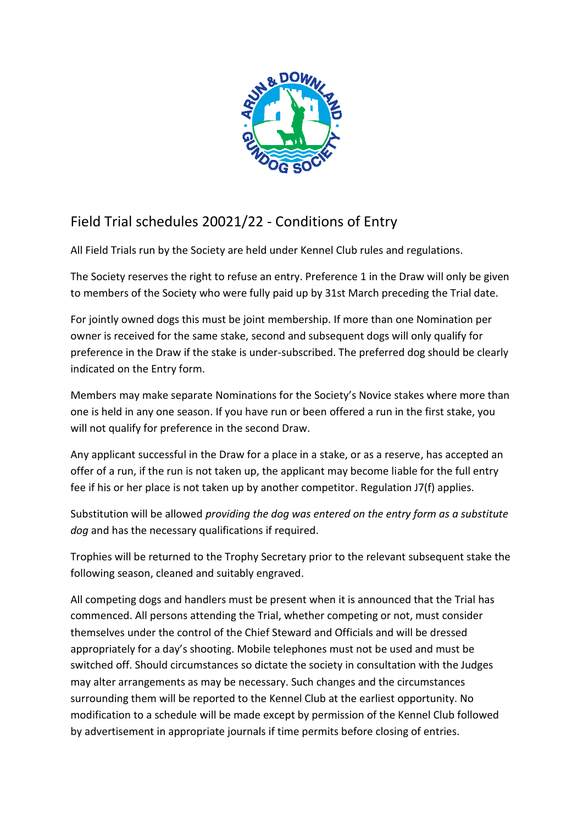

## Field Trial schedules 20021/22 - Conditions of Entry

All Field Trials run by the Society are held under Kennel Club rules and regulations.

The Society reserves the right to refuse an entry. Preference 1 in the Draw will only be given to members of the Society who were fully paid up by 31st March preceding the Trial date.

For jointly owned dogs this must be joint membership. If more than one Nomination per owner is received for the same stake, second and subsequent dogs will only qualify for preference in the Draw if the stake is under-subscribed. The preferred dog should be clearly indicated on the Entry form.

Members may make separate Nominations for the Society's Novice stakes where more than one is held in any one season. If you have run or been offered a run in the first stake, you will not qualify for preference in the second Draw.

Any applicant successful in the Draw for a place in a stake, or as a reserve, has accepted an offer of a run, if the run is not taken up, the applicant may become liable for the full entry fee if his or her place is not taken up by another competitor. Regulation J7(f) applies.

Substitution will be allowed *providing the dog was entered on the entry form as a substitute dog* and has the necessary qualifications if required.

Trophies will be returned to the Trophy Secretary prior to the relevant subsequent stake the following season, cleaned and suitably engraved.

All competing dogs and handlers must be present when it is announced that the Trial has commenced. All persons attending the Trial, whether competing or not, must consider themselves under the control of the Chief Steward and Officials and will be dressed appropriately for a day's shooting. Mobile telephones must not be used and must be switched off. Should circumstances so dictate the society in consultation with the Judges may alter arrangements as may be necessary. Such changes and the circumstances surrounding them will be reported to the Kennel Club at the earliest opportunity. No modification to a schedule will be made except by permission of the Kennel Club followed by advertisement in appropriate journals if time permits before closing of entries.